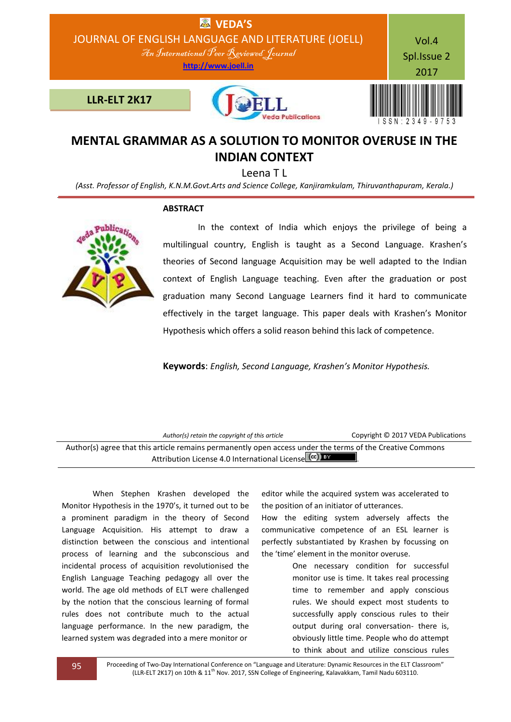

## **MENTAL GRAMMAR AS A SOLUTION TO MONITOR OVERUSE IN THE INDIAN CONTEXT**

Leena T L

*(Asst. Professor of English, K.N.M.Govt.Arts and Science College, Kanjiramkulam, Thiruvanthapuram, Kerala.)*

## **ABSTRACT**



 In the context of India which enjoys the privilege of being a multilingual country, English is taught as a Second Language. Krashen's theories of Second language Acquisition may be well adapted to the Indian context of English Language teaching. Even after the graduation or post graduation many Second Language Learners find it hard to communicate effectively in the target language. This paper deals with Krashen's Monitor Hypothesis which offers a solid reason behind this lack of competence.

**Keywords**: *English, Second Language, Krashen's Monitor Hypothesis.*

| Author(s) retain the copyright of this article                                                                                                                     | Copyright © 2017 VEDA Publications |
|--------------------------------------------------------------------------------------------------------------------------------------------------------------------|------------------------------------|
| Author(s) agree that this article remains permanently open access under the terms of the Creative Commons<br>Attribution License 4.0 International License (cc) BY |                                    |

When Stephen Krashen developed the Monitor Hypothesis in the 1970's, it turned out to be a prominent paradigm in the theory of Second Language Acquisition. His attempt to draw a distinction between the conscious and intentional process of learning and the subconscious and incidental process of acquisition revolutionised the English Language Teaching pedagogy all over the world. The age old methods of ELT were challenged by the notion that the conscious learning of formal rules does not contribute much to the actual language performance. In the new paradigm, the learned system was degraded into a mere monitor or

editor while the acquired system was accelerated to the position of an initiator of utterances.

How the editing system adversely affects the communicative competence of an ESL learner is perfectly substantiated by Krashen by focussing on the 'time' element in the monitor overuse.

> One necessary condition for successful monitor use is time. It takes real processing time to remember and apply conscious rules. We should expect most students to successfully apply conscious rules to their output during oral conversation- there is, obviously little time. People who do attempt to think about and utilize conscious rules

95 Proceeding of Two-Day International Conference on "Language and Literature: Dynamic Resources in the ELT Classroom" (LLR-ELT 2K17) on 10th & 11th Nov. 2017, SSN College of Engineering, Kalavakkam, Tamil Nadu 603110.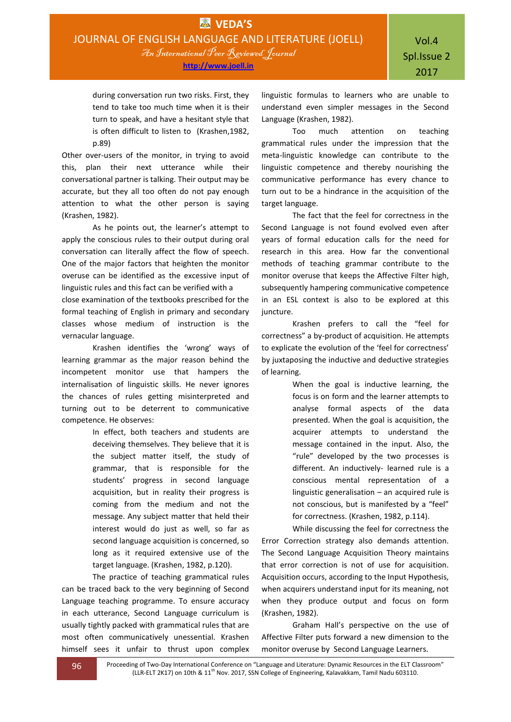during conversation run two risks. First, they tend to take too much time when it is their turn to speak, and have a hesitant style that is often difficult to listen to (Krashen,1982, p.89)

Other over-users of the monitor, in trying to avoid this, plan their next utterance while their conversational partner is talking. Their output may be accurate, but they all too often do not pay enough attention to what the other person is saying (Krashen, 1982).

As he points out, the learner's attempt to apply the conscious rules to their output during oral conversation can literally affect the flow of speech. One of the major factors that heighten the monitor overuse can be identified as the excessive input of linguistic rules and this fact can be verified with a close examination of the textbooks prescribed for the formal teaching of English in primary and secondary classes whose medium of instruction is the vernacular language.

Krashen identifies the 'wrong' ways of learning grammar as the major reason behind the incompetent monitor use that hampers the internalisation of linguistic skills. He never ignores the chances of rules getting misinterpreted and turning out to be deterrent to communicative competence. He observes:

> In effect, both teachers and students are deceiving themselves. They believe that it is the subject matter itself, the study of grammar, that is responsible for the students' progress in second language acquisition, but in reality their progress is coming from the medium and not the message. Any subject matter that held their interest would do just as well, so far as second language acquisition is concerned, so long as it required extensive use of the target language. (Krashen, 1982, p.120).

The practice of teaching grammatical rules can be traced back to the very beginning of Second Language teaching programme. To ensure accuracy in each utterance, Second Language curriculum is usually tightly packed with grammatical rules that are most often communicatively unessential. Krashen himself sees it unfair to thrust upon complex linguistic formulas to learners who are unable to understand even simpler messages in the Second Language (Krashen, 1982).

Too much attention on teaching grammatical rules under the impression that the meta-linguistic knowledge can contribute to the linguistic competence and thereby nourishing the communicative performance has every chance to turn out to be a hindrance in the acquisition of the target language.

The fact that the feel for correctness in the Second Language is not found evolved even after years of formal education calls for the need for research in this area. How far the conventional methods of teaching grammar contribute to the monitor overuse that keeps the Affective Filter high, subsequently hampering communicative competence in an ESL context is also to be explored at this juncture.

Krashen prefers to call the "feel for correctness" a by-product of acquisition. He attempts to explicate the evolution of the 'feel for correctness' by juxtaposing the inductive and deductive strategies of learning.

> When the goal is inductive learning, the focus is on form and the learner attempts to analyse formal aspects of the data presented. When the goal is acquisition, the acquirer attempts to understand the message contained in the input. Also, the "rule" developed by the two processes is different. An inductively- learned rule is a conscious mental representation of a linguistic generalisation – an acquired rule is not conscious, but is manifested by a "feel" for correctness. (Krashen, 1982, p.114).

While discussing the feel for correctness the Error Correction strategy also demands attention. The Second Language Acquisition Theory maintains that error correction is not of use for acquisition. Acquisition occurs, according to the Input Hypothesis, when acquirers understand input for its meaning, not when they produce output and focus on form (Krashen, 1982).

Graham Hall's perspective on the use of Affective Filter puts forward a new dimension to the monitor overuse by Second Language Learners.

96 Proceeding of Two-Day International Conference on "Language and Literature: Dynamic Resources in the ELT Classroom" (LLR-ELT 2K17) on 10th & 11<sup>th</sup> Nov. 2017, SSN College of Engineering, Kalavakkam, Tamil Nadu 603110.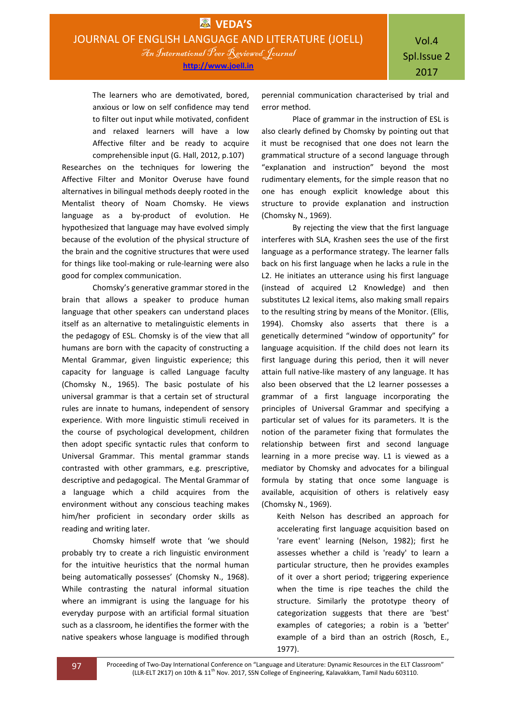The learners who are demotivated, bored, anxious or low on self confidence may tend to filter out input while motivated, confident and relaxed learners will have a low Affective filter and be ready to acquire comprehensible input (G. Hall, 2012, p.107)

Researches on the techniques for lowering the Affective Filter and Monitor Overuse have found alternatives in bilingual methods deeply rooted in the Mentalist theory of Noam Chomsky. He views language as a by-product of evolution. He hypothesized that language may have evolved simply because of the evolution of the physical structure of the brain and the cognitive structures that were used for things like tool-making or rule-learning were also good for complex communication.

Chomsky's generative grammar stored in the brain that allows a speaker to produce human language that other speakers can understand places itself as an alternative to metalinguistic elements in the pedagogy of ESL. Chomsky is of the view that all humans are born with the capacity of constructing a Mental Grammar, given linguistic experience; this capacity for language is called Language faculty (Chomsky N., 1965). The basic postulate of his universal grammar is that a certain set of structural rules are innate to humans, independent of sensory experience. With more linguistic stimuli received in the course of psychological development, children then adopt specific syntactic rules that conform to Universal Grammar. This mental grammar stands contrasted with other grammars, e.g. prescriptive, descriptive and pedagogical. The Mental Grammar of a language which a child acquires from the environment without any conscious teaching makes him/her proficient in secondary order skills as reading and writing later.

Chomsky himself wrote that 'we should probably try to create a rich linguistic environment for the intuitive heuristics that the normal human being automatically possesses' (Chomsky N., 1968). While contrasting the natural informal situation where an immigrant is using the language for his everyday purpose with an artificial formal situation such as a classroom, he identifies the former with the native speakers whose language is modified through

perennial communication characterised by trial and error method.

Place of grammar in the instruction of ESL is also clearly defined by Chomsky by pointing out that it must be recognised that one does not learn the grammatical structure of a second language through "explanation and instruction" beyond the most rudimentary elements, for the simple reason that no one has enough explicit knowledge about this structure to provide explanation and instruction (Chomsky N., 1969).

By rejecting the view that the first language interferes with SLA, Krashen sees the use of the first language as a performance strategy. The learner falls back on his first language when he lacks a rule in the L2. He initiates an utterance using his first language (instead of acquired L2 Knowledge) and then substitutes L2 lexical items, also making small repairs to the resulting string by means of the Monitor. (Ellis, 1994). Chomsky also asserts that there is a genetically determined "window of opportunity" for language acquisition. If the child does not learn its first language during this period, then it will never attain full native-like mastery of any language. It has also been observed that the L2 learner possesses a grammar of a first language incorporating the principles of Universal Grammar and specifying a particular set of values for its parameters. It is the notion of the parameter fixing that formulates the relationship between first and second language learning in a more precise way. L1 is viewed as a mediator by Chomsky and advocates for a bilingual formula by stating that once some language is available, acquisition of others is relatively easy (Chomsky N., 1969).

Keith Nelson has described an approach for accelerating first language acquisition based on 'rare event' learning (Nelson, 1982); first he assesses whether a child is 'ready' to learn a particular structure, then he provides examples of it over a short period; triggering experience when the time is ripe teaches the child the structure. Similarly the prototype theory of categorization suggests that there are 'best' examples of categories; a robin is a 'better' example of a bird than an ostrich [\(Rosch,](https://en.wikipedia.org/wiki/Eleanor_Rosch) E., 1977).

97 Proceeding of Two-Day International Conference on "Language and Literature: Dynamic Resources in the ELT Classroom" (LLR-ELT 2K17) on 10th & 11<sup>th</sup> Nov. 2017, SSN College of Engineering, Kalavakkam, Tamil Nadu 603110.